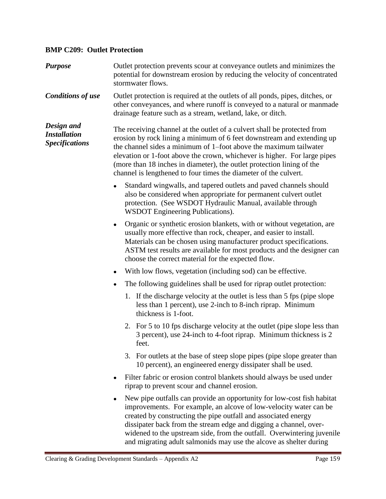## **BMP C209: Outlet Protection**

| <b>Purpose</b>                                             | Outlet protection prevents scour at conveyance outlets and minimizes the<br>potential for downstream erosion by reducing the velocity of concentrated<br>stormwater flows.                                                                                                                                                                                                                                                                         |
|------------------------------------------------------------|----------------------------------------------------------------------------------------------------------------------------------------------------------------------------------------------------------------------------------------------------------------------------------------------------------------------------------------------------------------------------------------------------------------------------------------------------|
| <b>Conditions of use</b>                                   | Outlet protection is required at the outlets of all ponds, pipes, ditches, or<br>other conveyances, and where runoff is conveyed to a natural or manmade<br>drainage feature such as a stream, wetland, lake, or ditch.                                                                                                                                                                                                                            |
| Design and<br><b>Installation</b><br><b>Specifications</b> | The receiving channel at the outlet of a culvert shall be protected from<br>erosion by rock lining a minimum of 6 feet downstream and extending up<br>the channel sides a minimum of 1-foot above the maximum tailwater<br>elevation or 1-foot above the crown, whichever is higher. For large pipes<br>(more than 18 inches in diameter), the outlet protection lining of the<br>channel is lengthened to four times the diameter of the culvert. |
|                                                            | Standard wingwalls, and tapered outlets and paved channels should<br>also be considered when appropriate for permanent culvert outlet<br>protection. (See WSDOT Hydraulic Manual, available through<br>WSDOT Engineering Publications).                                                                                                                                                                                                            |
|                                                            | Organic or synthetic erosion blankets, with or without vegetation, are<br>$\bullet$<br>usually more effective than rock, cheaper, and easier to install.<br>Materials can be chosen using manufacturer product specifications.<br>ASTM test results are available for most products and the designer can<br>choose the correct material for the expected flow.                                                                                     |
|                                                            | With low flows, vegetation (including sod) can be effective.<br>$\bullet$                                                                                                                                                                                                                                                                                                                                                                          |
|                                                            | The following guidelines shall be used for riprap outlet protection:<br>$\bullet$                                                                                                                                                                                                                                                                                                                                                                  |
|                                                            | 1. If the discharge velocity at the outlet is less than 5 fps (pipe slope<br>less than 1 percent), use 2-inch to 8-inch riprap. Minimum<br>thickness is 1-foot.                                                                                                                                                                                                                                                                                    |
|                                                            | 2. For 5 to 10 fps discharge velocity at the outlet (pipe slope less than<br>3 percent), use 24-inch to 4-foot riprap. Minimum thickness is 2<br>feet.                                                                                                                                                                                                                                                                                             |
|                                                            | 3. For outlets at the base of steep slope pipes (pipe slope greater than<br>10 percent), an engineered energy dissipater shall be used.                                                                                                                                                                                                                                                                                                            |
|                                                            | Filter fabric or erosion control blankets should always be used under<br>riprap to prevent scour and channel erosion.                                                                                                                                                                                                                                                                                                                              |
|                                                            | New pipe outfalls can provide an opportunity for low-cost fish habitat<br>improvements. For example, an alcove of low-velocity water can be<br>created by constructing the pipe outfall and associated energy<br>dissipater back from the stream edge and digging a channel, over-<br>widened to the upstream side, from the outfall. Overwintering juvenile                                                                                       |

and migrating adult salmonids may use the alcove as shelter during